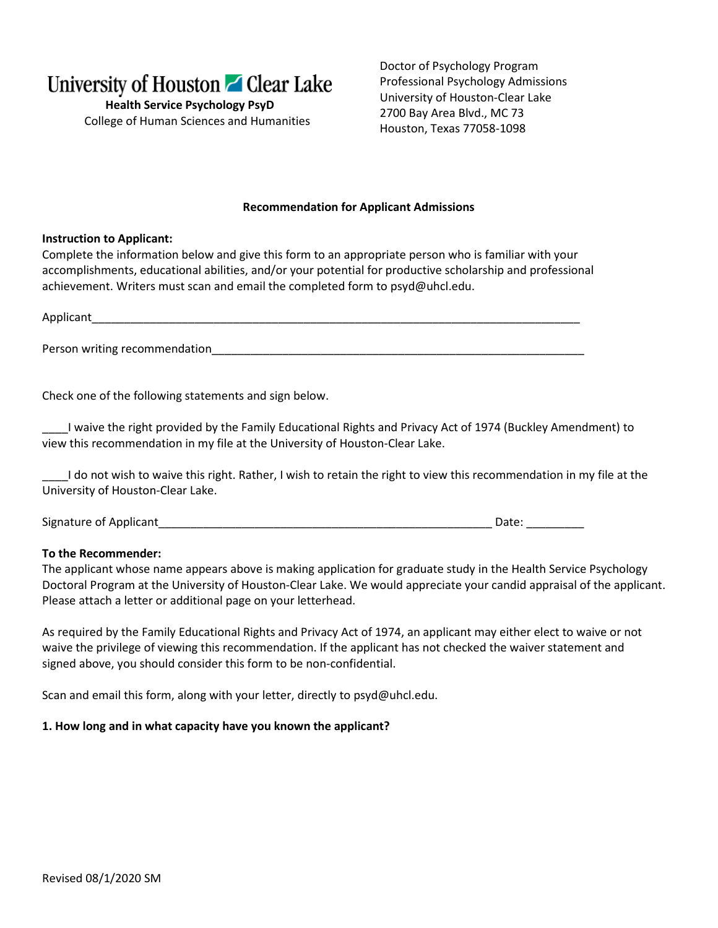

**Health Service Psychology PsyD** College of Human Sciences and Humanities

Doctor of Psychology Program Professional Psychology Admissions University of Houston-Clear Lake 2700 Bay Area Blvd., MC 73 Houston, Texas 77058-1098

#### **Recommendation for Applicant Admissions**

### **Instruction to Applicant:**

Complete the information below and give this form to an appropriate person who is familiar with your accomplishments, educational abilities, and/or your potential for productive scholarship and professional achievement. Writers must scan and email the completed form to psyd@uhcl.edu.

Applicant

Person writing recommendation **that in the set of the set of the set of the set of the set of the set of the set of the set of the set of the set of the set of the set of the set of the set of the set of the set of the set** 

Check one of the following statements and sign below.

\_\_\_\_I waive the right provided by the Family Educational Rights and Privacy Act of 1974 (Buckley Amendment) to view this recommendation in my file at the University of Houston-Clear Lake.

\_\_\_\_I do not wish to waive this right. Rather, I wish to retain the right to view this recommendation in my file at the University of Houston-Clear Lake.

Signature of Applicant League of Applicant League of Applicant League of Applicant League of Applicant League o

## **To the Recommender:**

The applicant whose name appears above is making application for graduate study in the Health Service Psychology Doctoral Program at the University of Houston-Clear Lake. We would appreciate your candid appraisal of the applicant. Please attach a letter or additional page on your letterhead.

As required by the Family Educational Rights and Privacy Act of 1974, an applicant may either elect to waive or not waive the privilege of viewing this recommendation. If the applicant has not checked the waiver statement and signed above, you should consider this form to be non-confidential.

Scan and email this form, along with your letter, directly to psyd@uhcl.edu.

#### **1. How long and in what capacity have you known the applicant?**